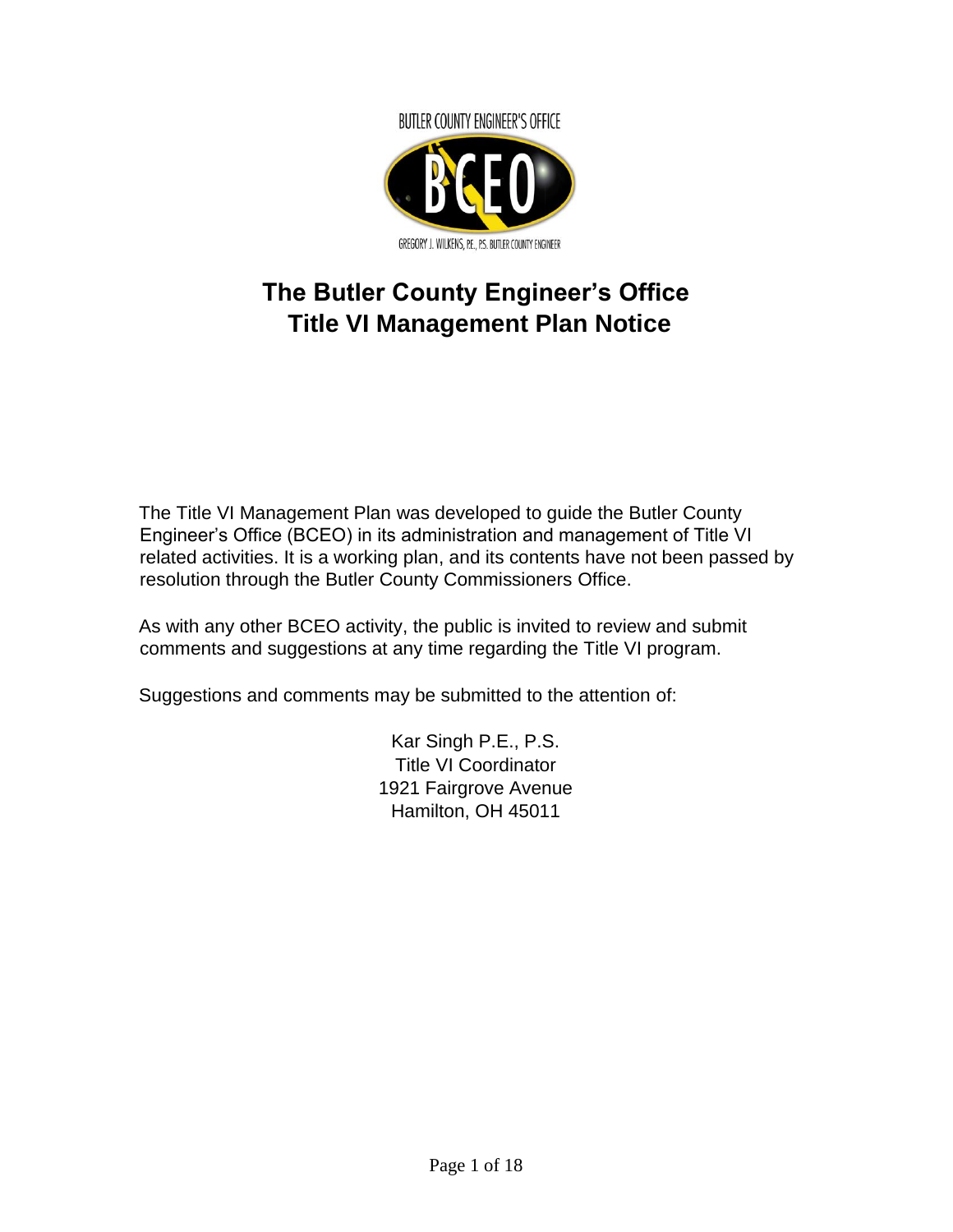

# **The Butler County Engineer's Office Title VI Management Plan Notice**

The Title VI Management Plan was developed to guide the Butler County Engineer's Office (BCEO) in its administration and management of Title VI related activities. It is a working plan, and its contents have not been passed by resolution through the Butler County Commissioners Office.

As with any other BCEO activity, the public is invited to review and submit comments and suggestions at any time regarding the Title VI program.

Suggestions and comments may be submitted to the attention of:

Kar Singh P.E., P.S. Title VI Coordinator 1921 Fairgrove Avenue Hamilton, OH 45011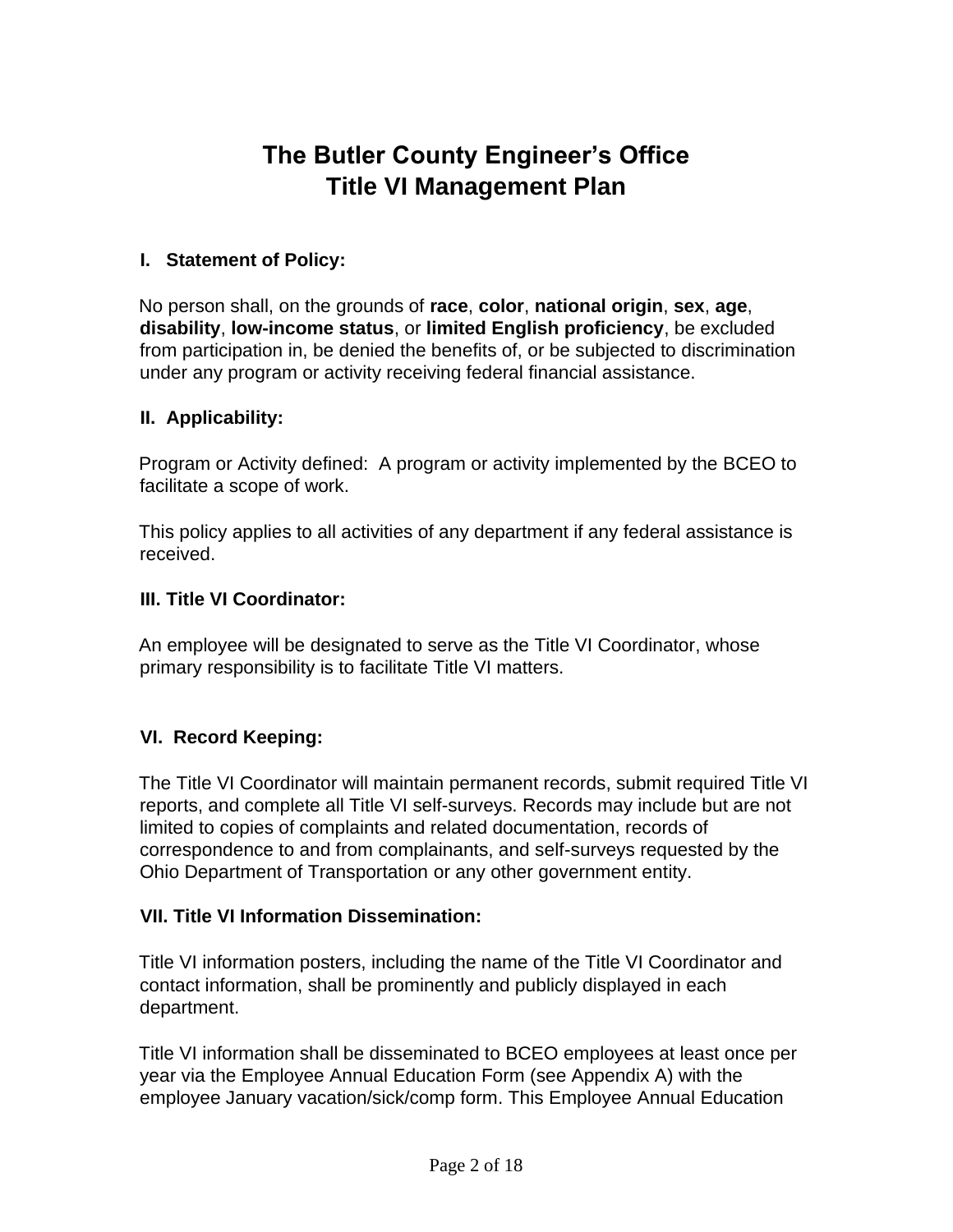## **The Butler County Engineer's Office Title VI Management Plan**

### **I. Statement of Policy:**

No person shall, on the grounds of **race**, **color**, **national origin**, **sex**, **age**, **disability**, **low-income status**, or **limited English proficiency**, be excluded from participation in, be denied the benefits of, or be subjected to discrimination under any program or activity receiving federal financial assistance.

### **II. Applicability:**

Program or Activity defined: A program or activity implemented by the BCEO to facilitate a scope of work.

This policy applies to all activities of any department if any federal assistance is received.

### **III. Title VI Coordinator:**

An employee will be designated to serve as the Title VI Coordinator, whose primary responsibility is to facilitate Title VI matters.

## **VI. Record Keeping:**

The Title VI Coordinator will maintain permanent records, submit required Title VI reports, and complete all Title VI self-surveys. Records may include but are not limited to copies of complaints and related documentation, records of correspondence to and from complainants, and self-surveys requested by the Ohio Department of Transportation or any other government entity.

#### **VII. Title VI Information Dissemination:**

Title VI information posters, including the name of the Title VI Coordinator and contact information, shall be prominently and publicly displayed in each department.

Title VI information shall be disseminated to BCEO employees at least once per year via the Employee Annual Education Form (see Appendix A) with the employee January vacation/sick/comp form. This Employee Annual Education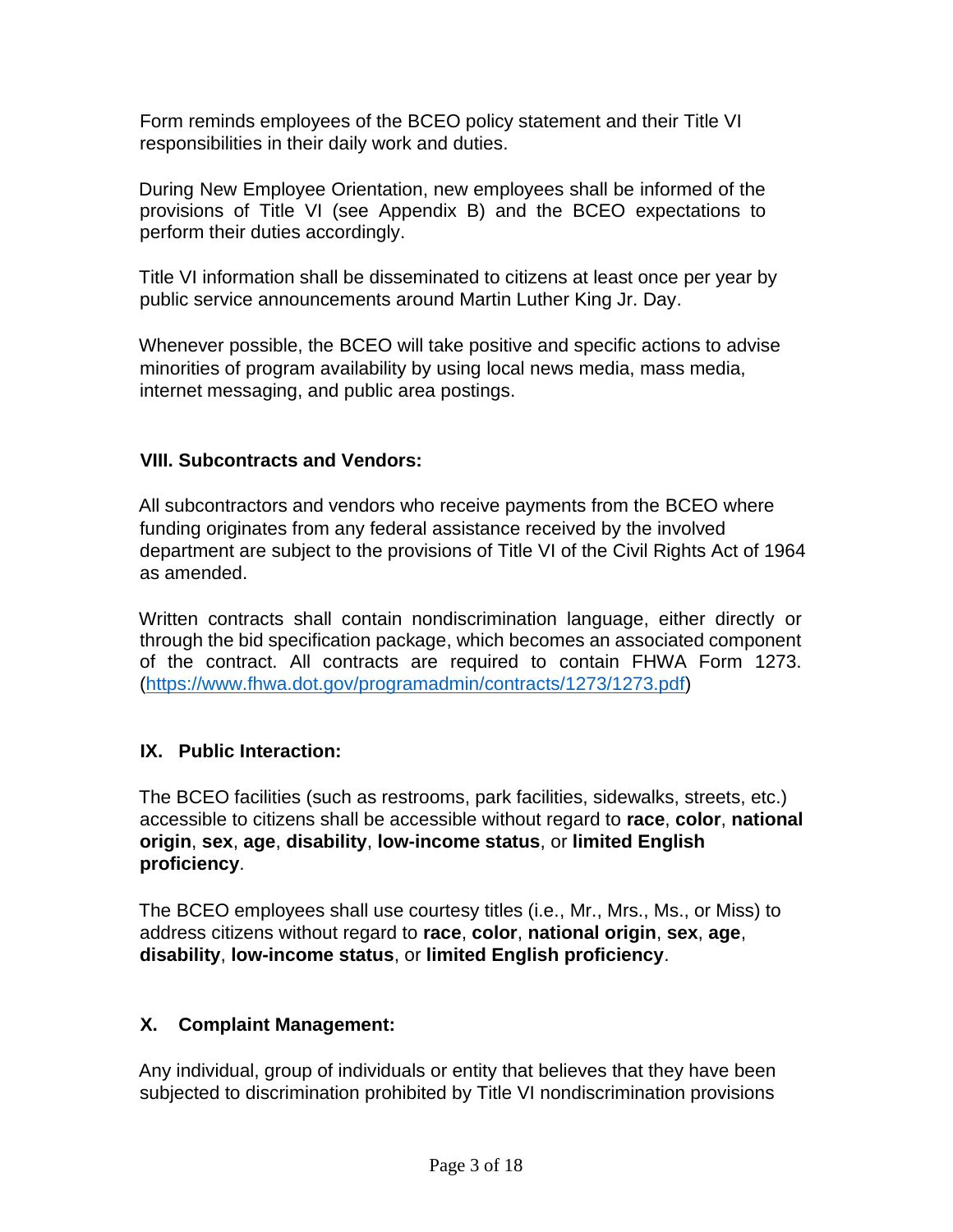Form reminds employees of the BCEO policy statement and their Title VI responsibilities in their daily work and duties.

During New Employee Orientation, new employees shall be informed of the provisions of Title VI (see Appendix B) and the BCEO expectations to perform their duties accordingly.

Title VI information shall be disseminated to citizens at least once per year by public service announcements around Martin Luther King Jr. Day.

Whenever possible, the BCEO will take positive and specific actions to advise minorities of program availability by using local news media, mass media, internet messaging, and public area postings.

## **VIII. Subcontracts and Vendors:**

All subcontractors and vendors who receive payments from the BCEO where funding originates from any federal assistance received by the involved department are subject to the provisions of Title VI of the Civil Rights Act of 1964 as amended.

Written contracts shall contain nondiscrimination language, either directly or through the bid specification package, which becomes an associated component of the contract. All contracts are required to contain FHWA Form 1273. [\(https://www.fhwa.dot.gov/programadmin/contracts/1273/1273.pdf\)](https://www.fhwa.dot.gov/programadmin/contracts/1273/1273.pdf)

## **IX. Public Interaction:**

The BCEO facilities (such as restrooms, park facilities, sidewalks, streets, etc.) accessible to citizens shall be accessible without regard to **race**, **color**, **national origin**, **sex**, **age**, **disability**, **low-income status**, or **limited English proficiency**.

The BCEO employees shall use courtesy titles (i.e., Mr., Mrs., Ms., or Miss) to address citizens without regard to **race**, **color**, **national origin**, **sex**, **age**, **disability**, **low-income status**, or **limited English proficiency**.

## **X. Complaint Management:**

Any individual, group of individuals or entity that believes that they have been subjected to discrimination prohibited by Title VI nondiscrimination provisions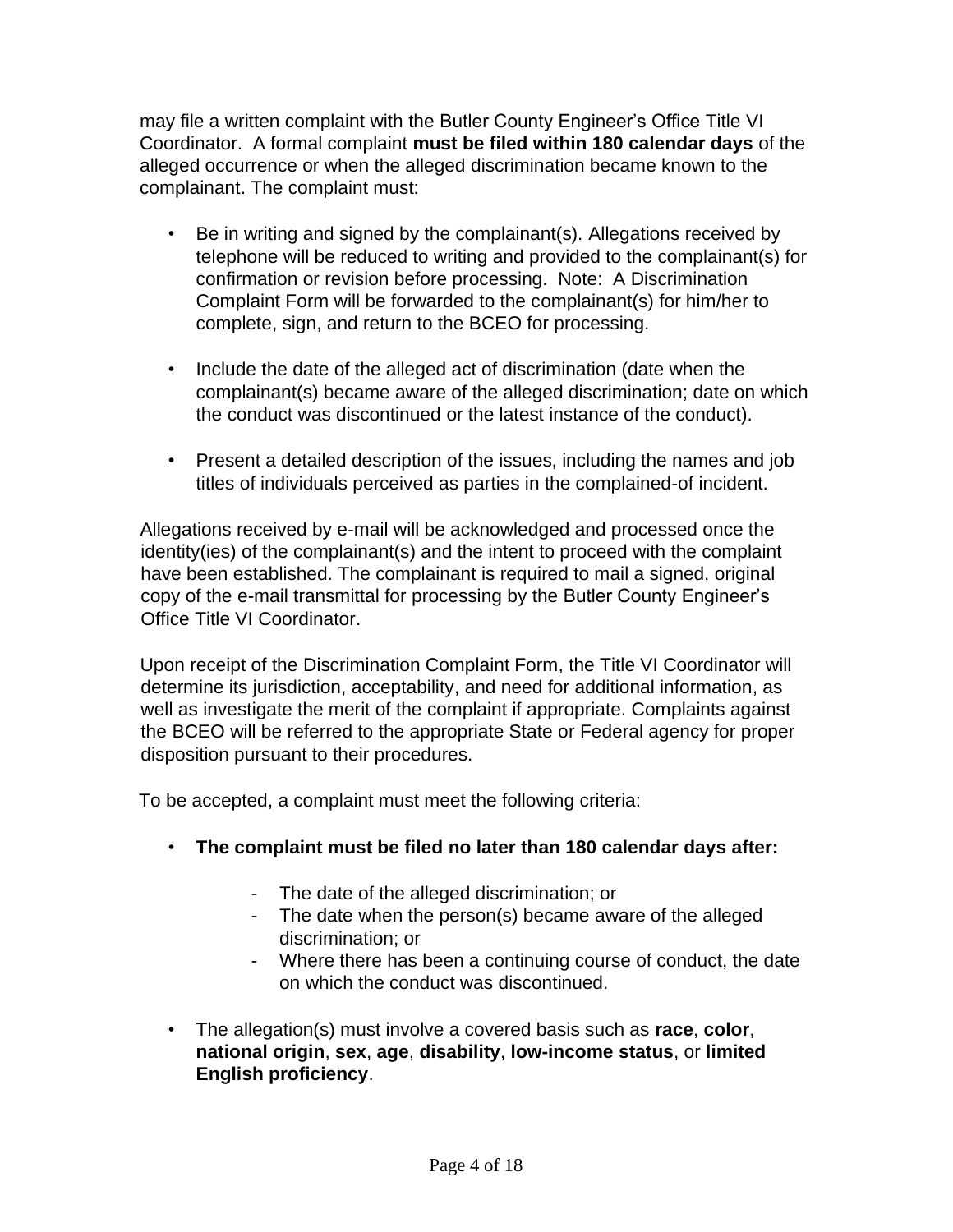may file a written complaint with the Butler County Engineer's Office Title VI Coordinator. A formal complaint **must be filed within 180 calendar days** of the alleged occurrence or when the alleged discrimination became known to the complainant. The complaint must:

- Be in writing and signed by the complainant(s). Allegations received by telephone will be reduced to writing and provided to the complainant(s) for confirmation or revision before processing. Note: A Discrimination Complaint Form will be forwarded to the complainant(s) for him/her to complete, sign, and return to the BCEO for processing.
- Include the date of the alleged act of discrimination (date when the complainant(s) became aware of the alleged discrimination; date on which the conduct was discontinued or the latest instance of the conduct).
- Present a detailed description of the issues, including the names and job titles of individuals perceived as parties in the complained-of incident.

Allegations received by e-mail will be acknowledged and processed once the identity(ies) of the complainant(s) and the intent to proceed with the complaint have been established. The complainant is required to mail a signed, original copy of the e-mail transmittal for processing by the Butler County Engineer's Office Title VI Coordinator.

Upon receipt of the Discrimination Complaint Form, the Title VI Coordinator will determine its jurisdiction, acceptability, and need for additional information, as well as investigate the merit of the complaint if appropriate. Complaints against the BCEO will be referred to the appropriate State or Federal agency for proper disposition pursuant to their procedures.

To be accepted, a complaint must meet the following criteria:

- **The complaint must be filed no later than 180 calendar days after:**
	- The date of the alleged discrimination; or
	- The date when the person(s) became aware of the alleged discrimination; or
	- Where there has been a continuing course of conduct, the date on which the conduct was discontinued.
- The allegation(s) must involve a covered basis such as **race**, **color**, **national origin**, **sex**, **age**, **disability**, **low-income status**, or **limited English proficiency**.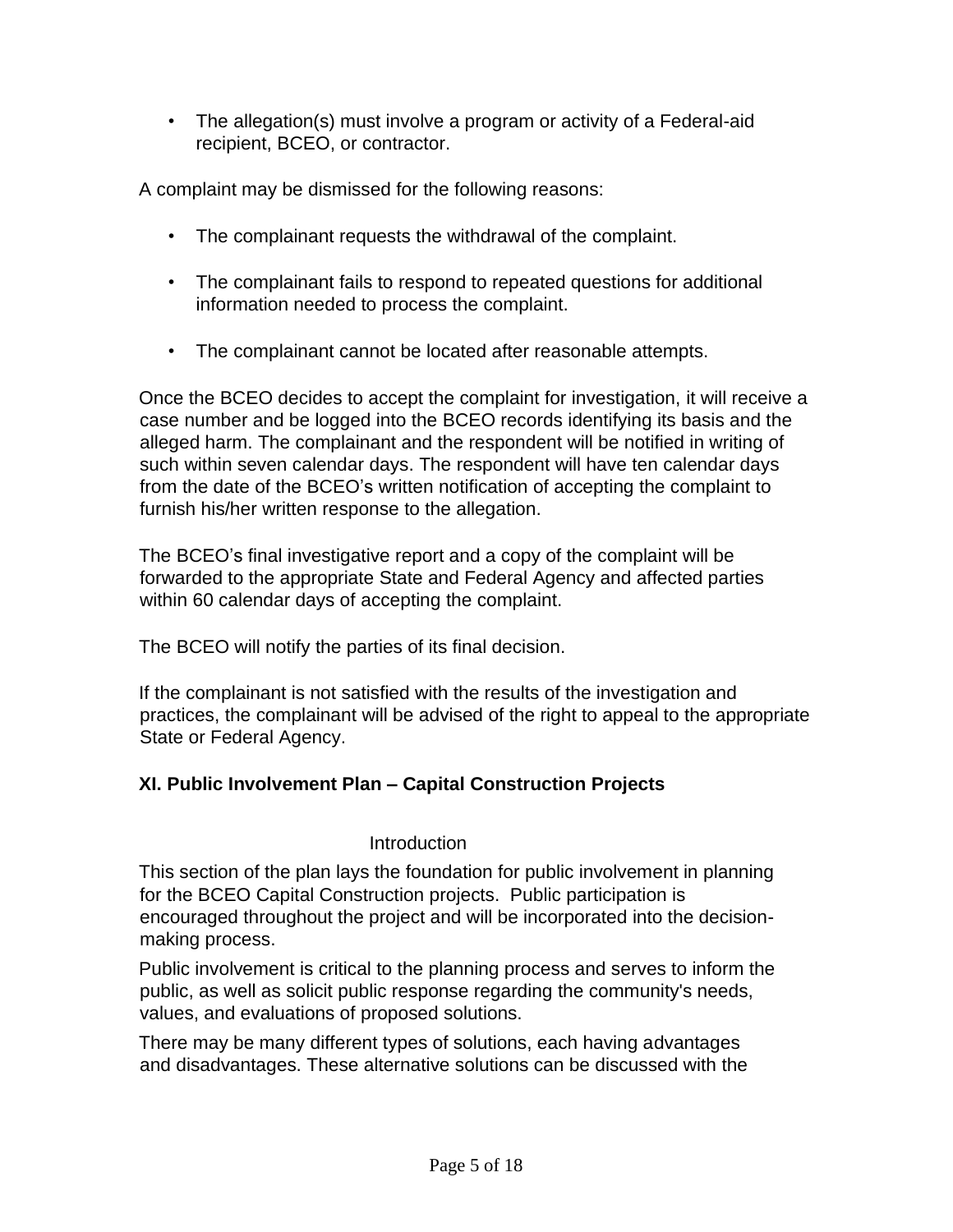• The allegation(s) must involve a program or activity of a Federal-aid recipient, BCEO, or contractor.

A complaint may be dismissed for the following reasons:

- The complainant requests the withdrawal of the complaint.
- The complainant fails to respond to repeated questions for additional information needed to process the complaint.
- The complainant cannot be located after reasonable attempts.

Once the BCEO decides to accept the complaint for investigation, it will receive a case number and be logged into the BCEO records identifying its basis and the alleged harm. The complainant and the respondent will be notified in writing of such within seven calendar days. The respondent will have ten calendar days from the date of the BCEO's written notification of accepting the complaint to furnish his/her written response to the allegation.

The BCEO's final investigative report and a copy of the complaint will be forwarded to the appropriate State and Federal Agency and affected parties within 60 calendar days of accepting the complaint.

The BCEO will notify the parties of its final decision.

If the complainant is not satisfied with the results of the investigation and practices, the complainant will be advised of the right to appeal to the appropriate State or Federal Agency.

## **XI. Public Involvement Plan – Capital Construction Projects**

#### **Introduction**

This section of the plan lays the foundation for public involvement in planning for the BCEO Capital Construction projects. Public participation is encouraged throughout the project and will be incorporated into the decisionmaking process.

Public involvement is critical to the planning process and serves to inform the public, as well as solicit public response regarding the community's needs, values, and evaluations of proposed solutions.

There may be many different types of solutions, each having advantages and disadvantages. These alternative solutions can be discussed with the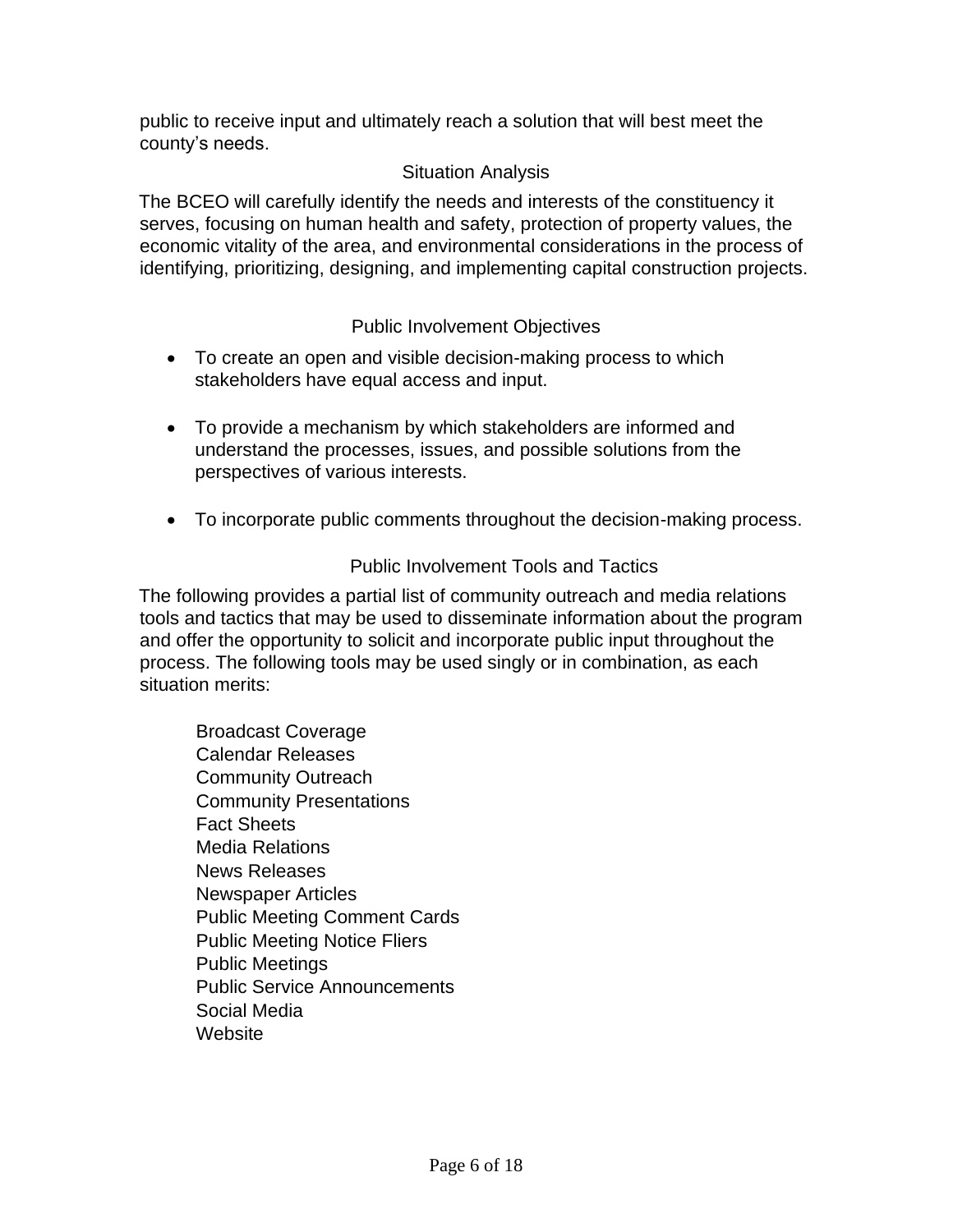public to receive input and ultimately reach a solution that will best meet the county's needs.

## Situation Analysis

The BCEO will carefully identify the needs and interests of the constituency it serves, focusing on human health and safety, protection of property values, the economic vitality of the area, and environmental considerations in the process of identifying, prioritizing, designing, and implementing capital construction projects.

## Public Involvement Objectives

- To create an open and visible decision-making process to which stakeholders have equal access and input.
- To provide a mechanism by which stakeholders are informed and understand the processes, issues, and possible solutions from the perspectives of various interests.
- To incorporate public comments throughout the decision-making process.

## Public Involvement Tools and Tactics

The following provides a partial list of community outreach and media relations tools and tactics that may be used to disseminate information about the program and offer the opportunity to solicit and incorporate public input throughout the process. The following tools may be used singly or in combination, as each situation merits:

Broadcast Coverage Calendar Releases Community Outreach Community Presentations Fact Sheets Media Relations News Releases Newspaper Articles Public Meeting Comment Cards Public Meeting Notice Fliers Public Meetings Public Service Announcements Social Media **Website**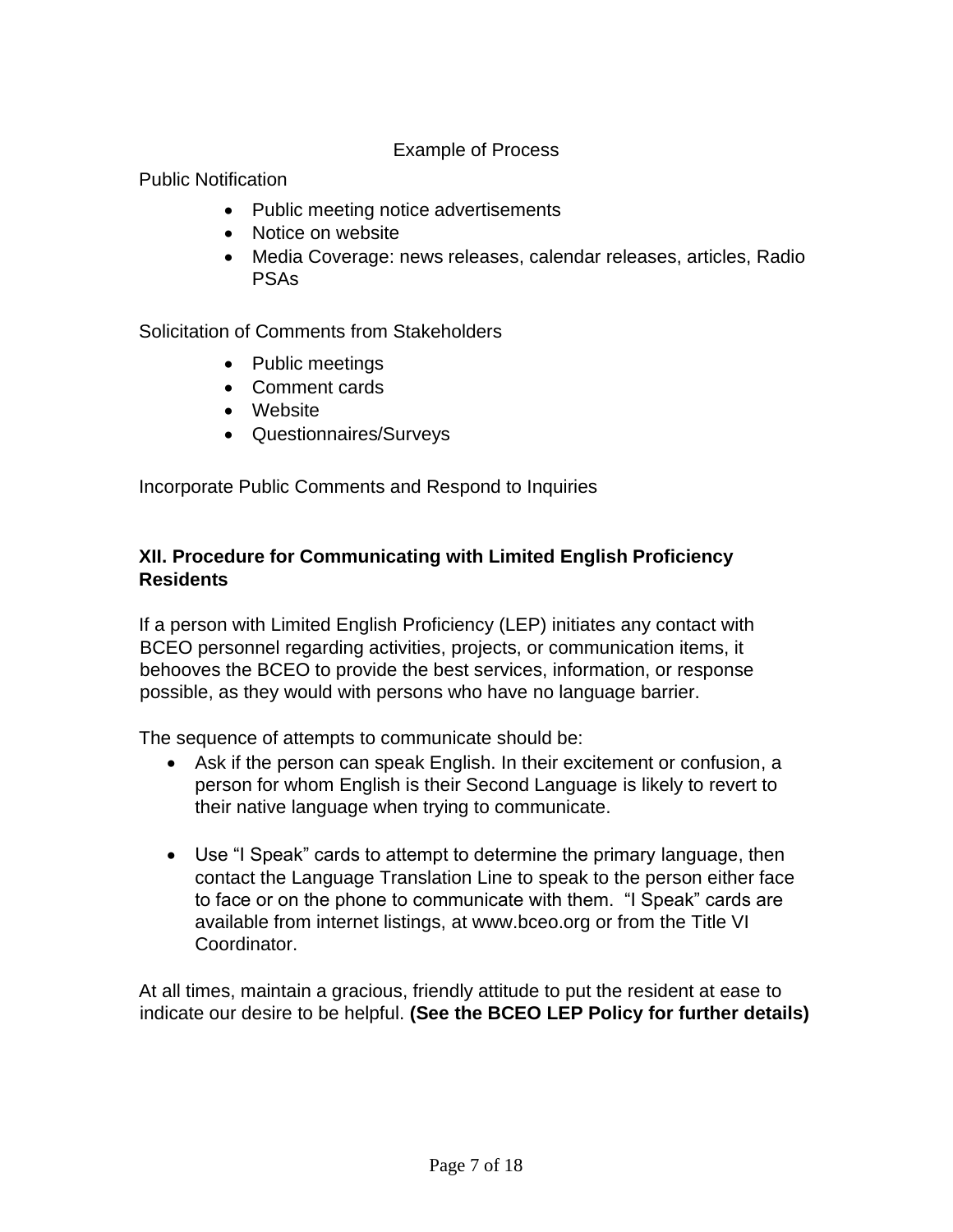### Example of Process

Public Notification

- Public meeting notice advertisements
- Notice on website
- Media Coverage: news releases, calendar releases, articles, Radio PSAs

Solicitation of Comments from Stakeholders

- Public meetings
- Comment cards
- Website
- Questionnaires/Surveys

Incorporate Public Comments and Respond to Inquiries

## **XII. Procedure for Communicating with Limited English Proficiency Residents**

If a person with Limited English Proficiency (LEP) initiates any contact with BCEO personnel regarding activities, projects, or communication items, it behooves the BCEO to provide the best services, information, or response possible, as they would with persons who have no language barrier.

The sequence of attempts to communicate should be:

- Ask if the person can speak English. In their excitement or confusion, a person for whom English is their Second Language is likely to revert to their native language when trying to communicate.
- Use "I Speak" cards to attempt to determine the primary language, then contact the Language Translation Line to speak to the person either face to face or on the phone to communicate with them. "I Speak" cards are available from internet listings, at www.bceo.org or from the Title VI Coordinator.

At all times, maintain a gracious, friendly attitude to put the resident at ease to indicate our desire to be helpful. **(See the BCEO LEP Policy for further details)**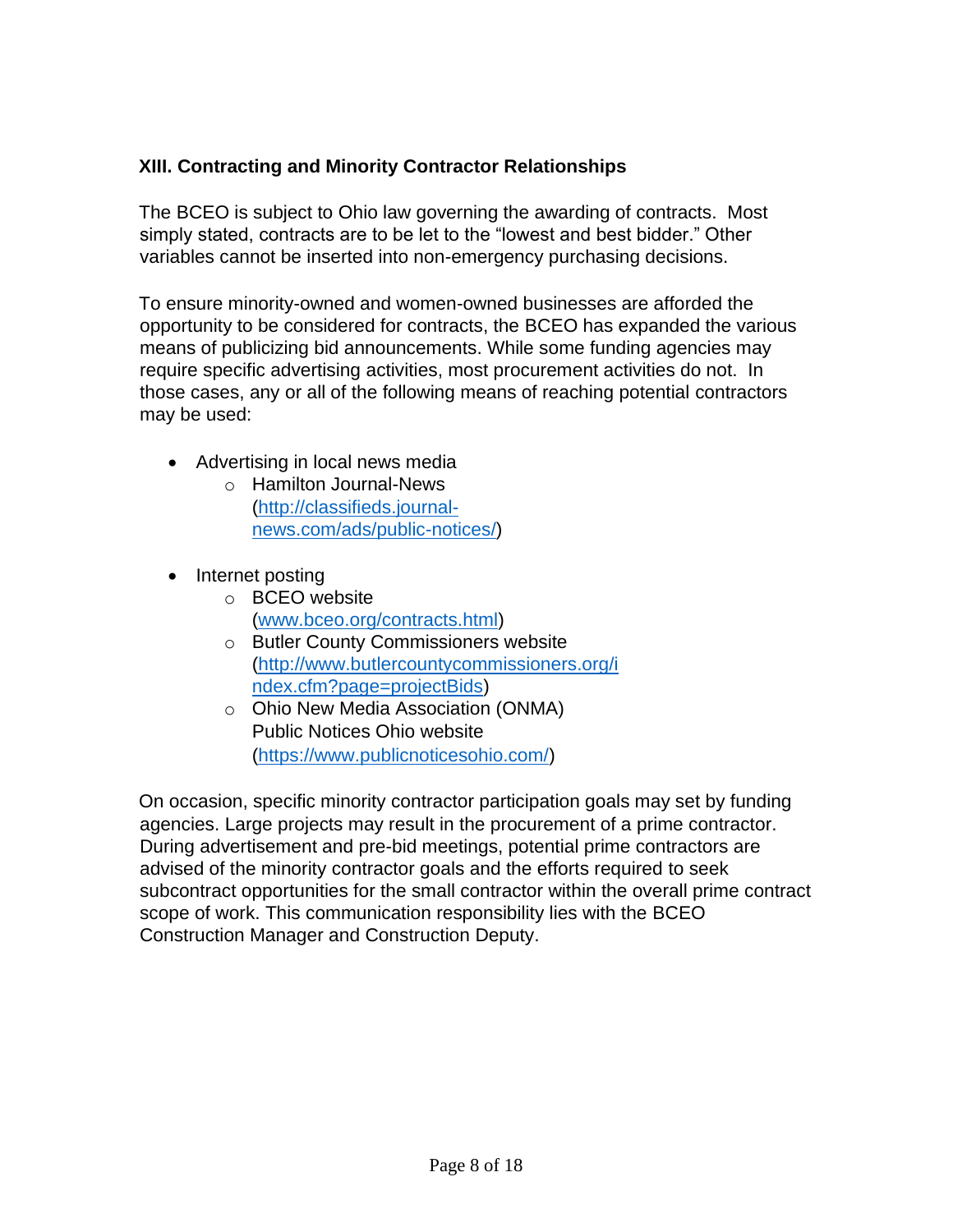## **XIII. Contracting and Minority Contractor Relationships**

The BCEO is subject to Ohio law governing the awarding of contracts. Most simply stated, contracts are to be let to the "lowest and best bidder." Other variables cannot be inserted into non-emergency purchasing decisions.

To ensure minority-owned and women-owned businesses are afforded the opportunity to be considered for contracts, the BCEO has expanded the various means of publicizing bid announcements. While some funding agencies may require specific advertising activities, most procurement activities do not. In those cases, any or all of the following means of reaching potential contractors may be used:

- Advertising in local news media
	- o Hamilton Journal-News [\(http://classifieds.journal](http://classifieds.journal-news.com/ads/public-notices/)[news.com/ads/public-notices/\)](http://classifieds.journal-news.com/ads/public-notices/)
- Internet posting
	- o BCEO website [\(www.bceo.org/contracts.html\)](http://www.bceo.org/contracts.html)
	- o Butler County Commissioners website [\(http://www.butlercountycommissioners.org/i](http://www.butlercountycommissioners.org/index.cfm?page=projectBids) [ndex.cfm?page=projectBids\)](http://www.butlercountycommissioners.org/index.cfm?page=projectBids)
	- o Ohio New Media Association (ONMA) Public Notices Ohio website [\(https://www.publicnoticesohio.com/\)](https://www.publicnoticesohio.com/)

On occasion, specific minority contractor participation goals may set by funding agencies. Large projects may result in the procurement of a prime contractor. During advertisement and pre-bid meetings, potential prime contractors are advised of the minority contractor goals and the efforts required to seek subcontract opportunities for the small contractor within the overall prime contract scope of work. This communication responsibility lies with the BCEO Construction Manager and Construction Deputy.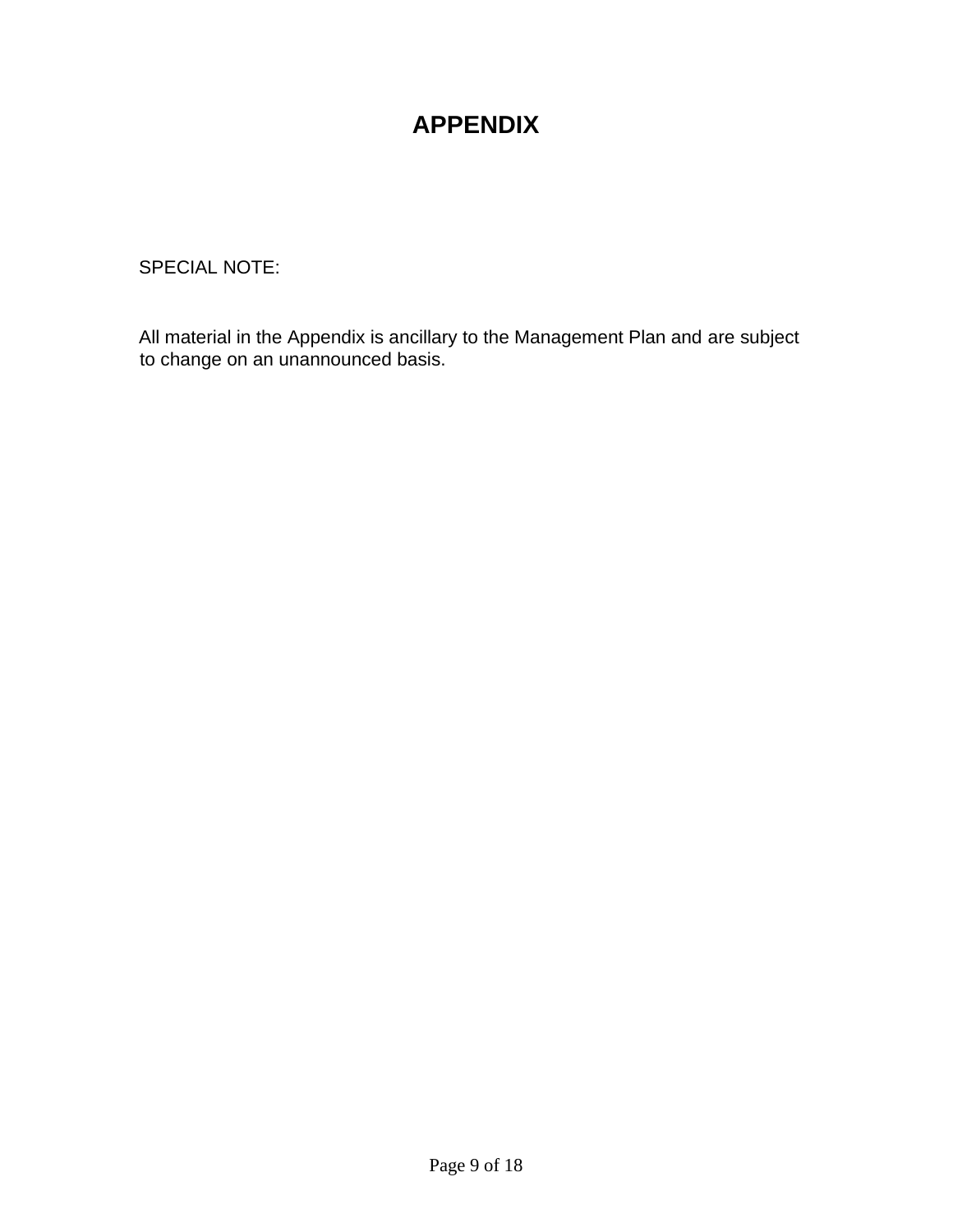## **APPENDIX**

SPECIAL NOTE:

All material in the Appendix is ancillary to the Management Plan and are subject to change on an unannounced basis.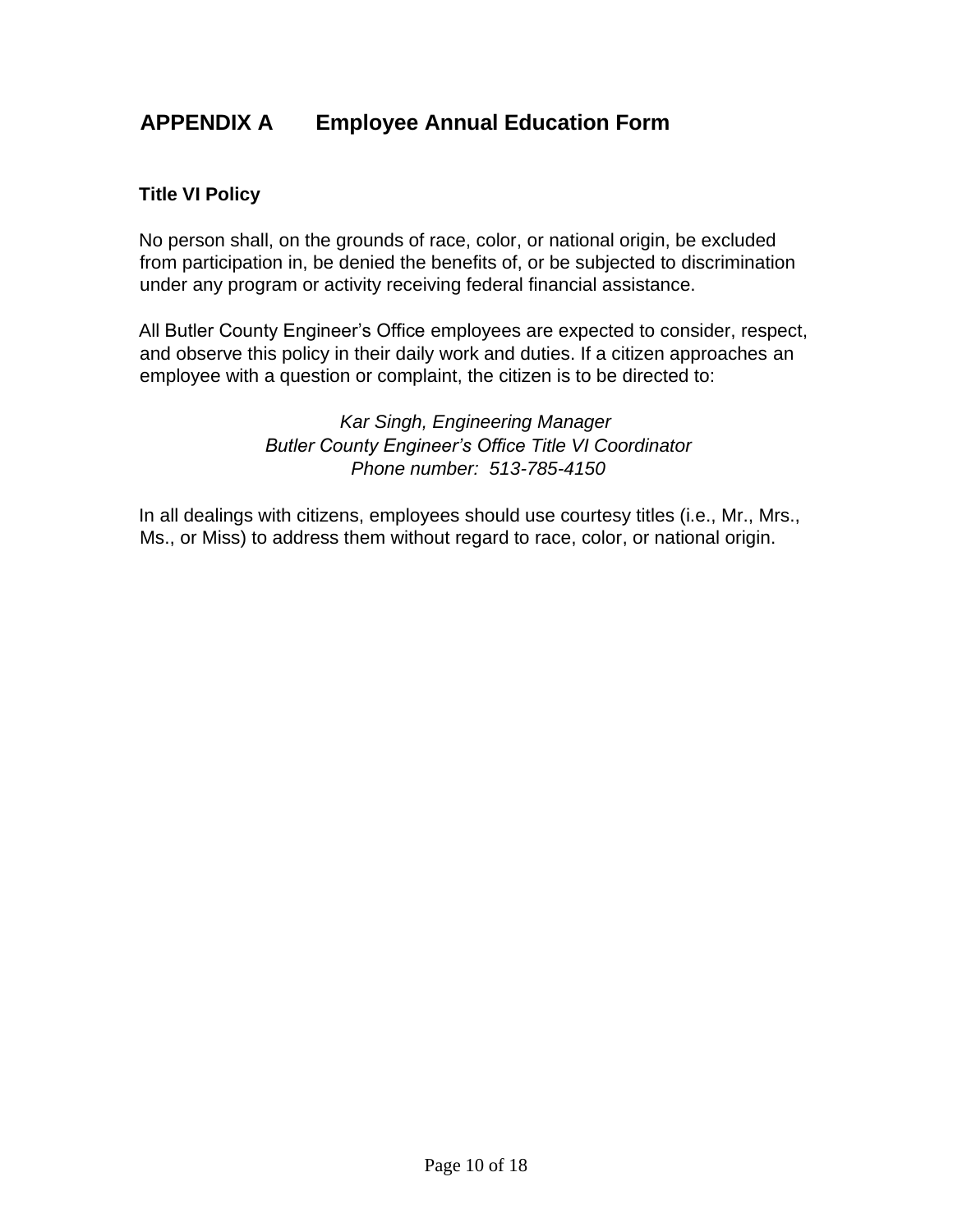## **APPENDIX A Employee Annual Education Form**

#### **Title VI Policy**

No person shall, on the grounds of race, color, or national origin, be excluded from participation in, be denied the benefits of, or be subjected to discrimination under any program or activity receiving federal financial assistance.

All Butler County Engineer's Office employees are expected to consider, respect, and observe this policy in their daily work and duties. If a citizen approaches an employee with a question or complaint, the citizen is to be directed to:

> *Kar Singh, Engineering Manager Butler County Engineer's Office Title VI Coordinator Phone number: 513-785-4150*

In all dealings with citizens, employees should use courtesy titles (i.e., Mr., Mrs., Ms., or Miss) to address them without regard to race, color, or national origin.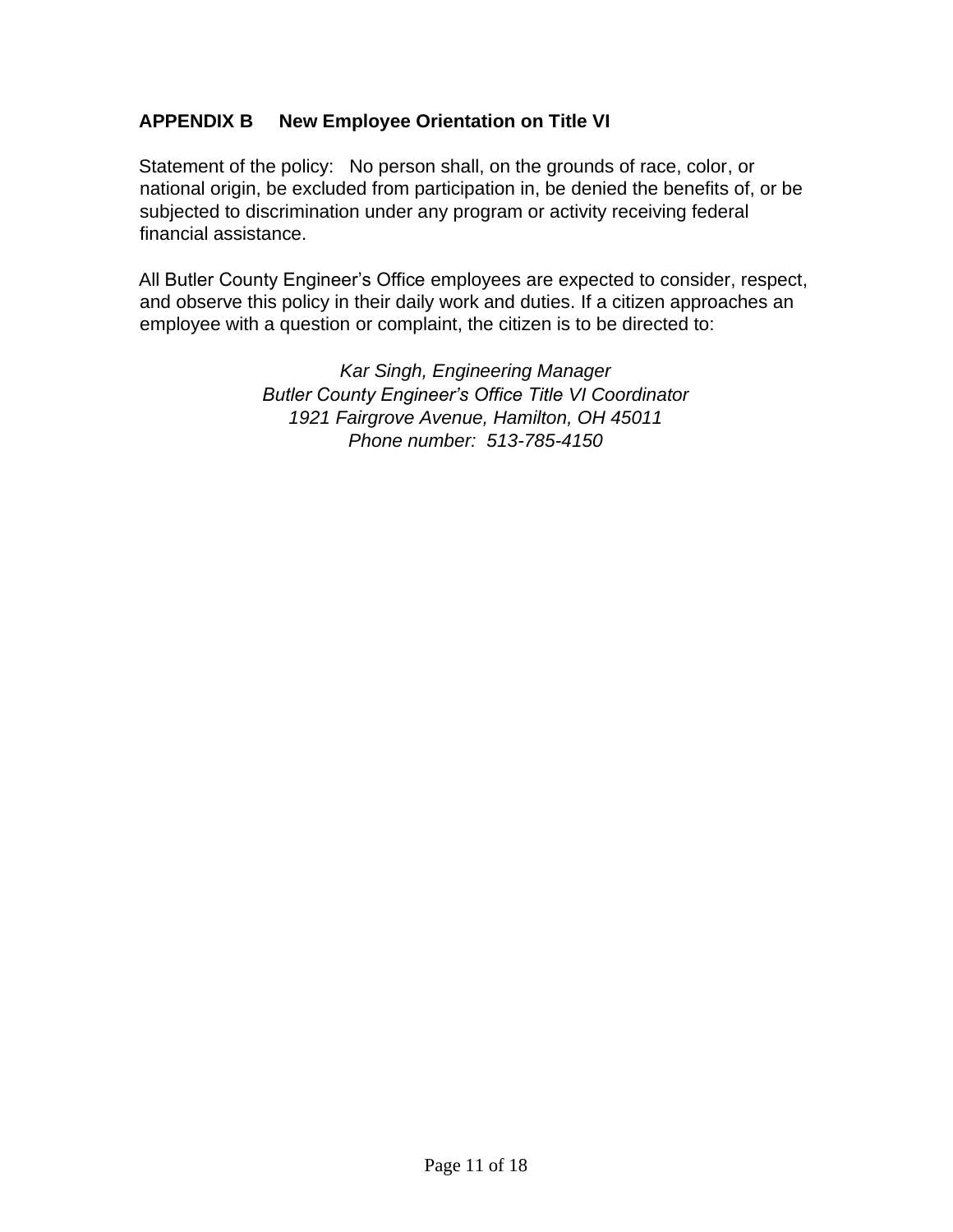## **APPENDIX B New Employee Orientation on Title VI**

Statement of the policy: No person shall, on the grounds of race, color, or national origin, be excluded from participation in, be denied the benefits of, or be subjected to discrimination under any program or activity receiving federal financial assistance.

All Butler County Engineer's Office employees are expected to consider, respect, and observe this policy in their daily work and duties. If a citizen approaches an employee with a question or complaint, the citizen is to be directed to:

> *Kar Singh, Engineering Manager Butler County Engineer's Office Title VI Coordinator 1921 Fairgrove Avenue, Hamilton, OH 45011 Phone number: 513-785-4150*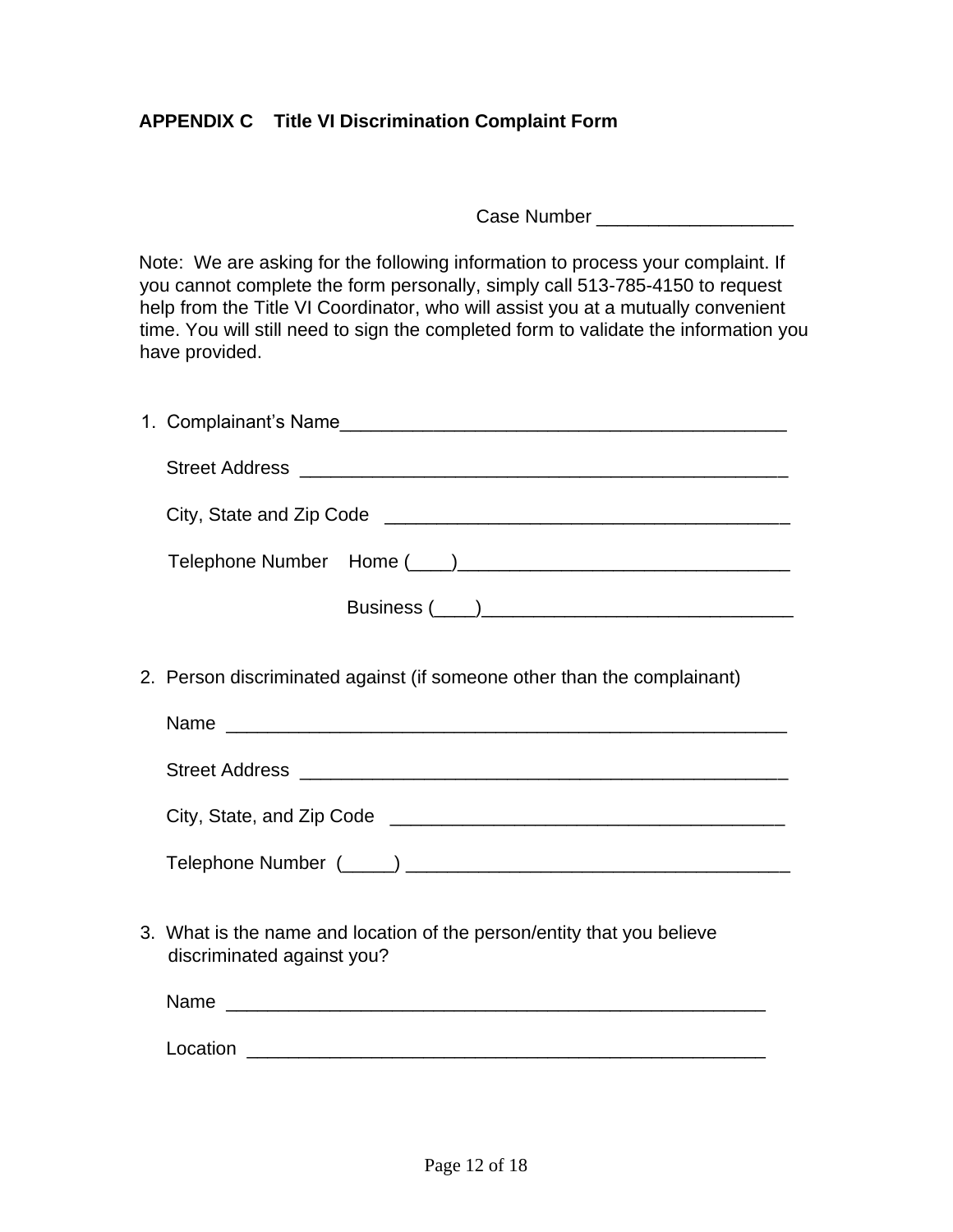## **APPENDIX C Title VI Discrimination Complaint Form**

Case Number \_\_\_\_\_\_\_\_\_\_\_\_\_\_\_\_\_\_\_

Note: We are asking for the following information to process your complaint. If you cannot complete the form personally, simply call 513-785-4150 to request help from the Title VI Coordinator, who will assist you at a mutually convenient time. You will still need to sign the completed form to validate the information you have provided.

| 2. Person discriminated against (if someone other than the complainant)                              |  |  |  |
|------------------------------------------------------------------------------------------------------|--|--|--|
|                                                                                                      |  |  |  |
|                                                                                                      |  |  |  |
|                                                                                                      |  |  |  |
|                                                                                                      |  |  |  |
| 3. What is the name and location of the person/entity that you believe<br>discriminated against you? |  |  |  |
|                                                                                                      |  |  |  |
|                                                                                                      |  |  |  |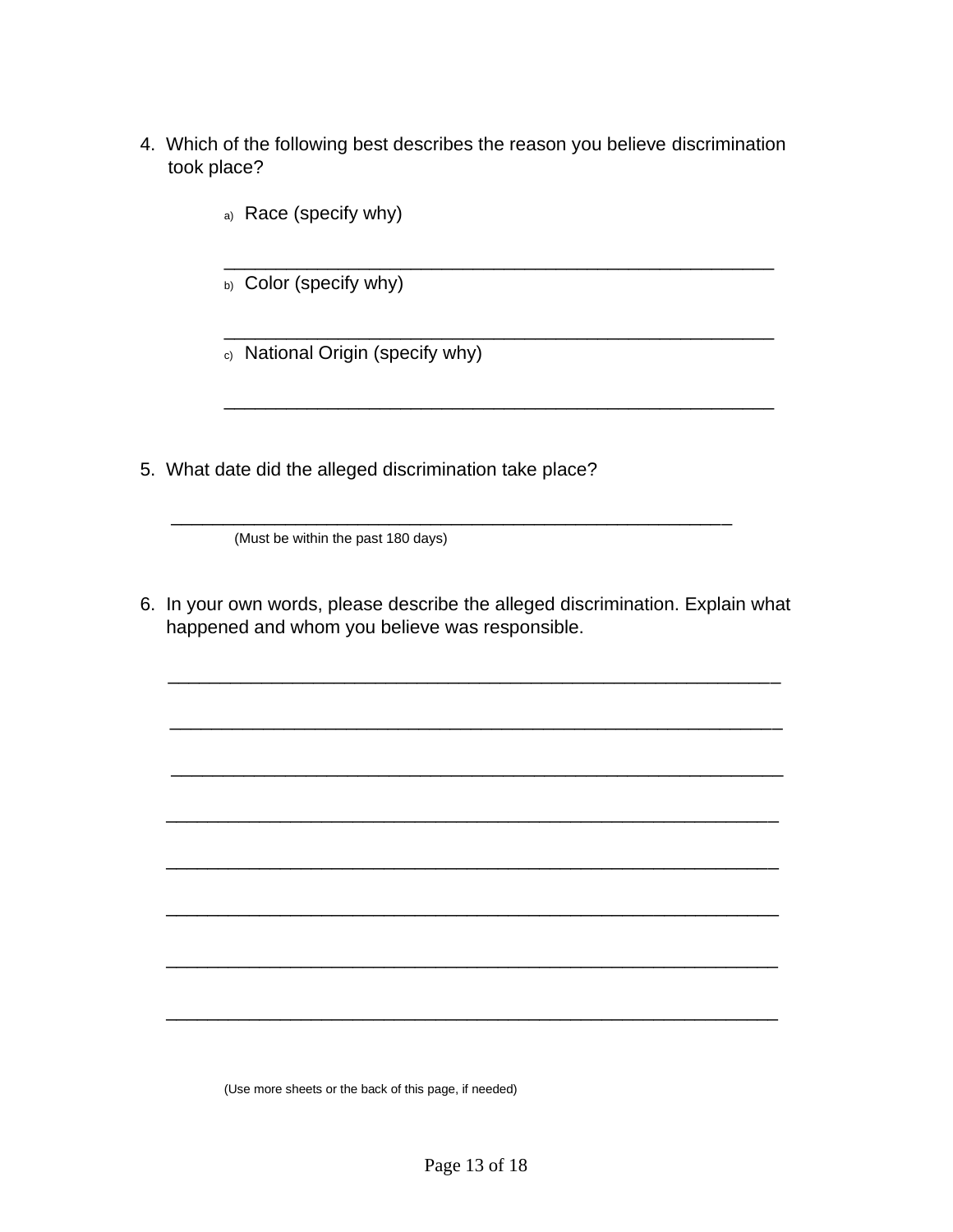4. Which of the following best describes the reason you believe discrimination took place?

\_\_\_\_\_\_\_\_\_\_\_\_\_\_\_\_\_\_\_\_\_\_\_\_\_\_\_\_\_\_\_\_\_\_\_\_\_\_\_\_\_\_\_\_\_\_\_\_\_\_\_\_\_

\_\_\_\_\_\_\_\_\_\_\_\_\_\_\_\_\_\_\_\_\_\_\_\_\_\_\_\_\_\_\_\_\_\_\_\_\_\_\_\_\_\_\_\_\_\_\_\_\_\_\_\_\_

\_\_\_\_\_\_\_\_\_\_\_\_\_\_\_\_\_\_\_\_\_\_\_\_\_\_\_\_\_\_\_\_\_\_\_\_\_\_\_\_\_\_\_\_\_\_\_\_\_\_\_\_\_

- a) Race (specify why)
- b) Color (specify why)
- c) National Origin (specify why)
- 5. What date did the alleged discrimination take place?

(Must be within the past 180 days)

6. In your own words, please describe the alleged discrimination. Explain what happened and whom you believe was responsible.

\_\_\_\_\_\_\_\_\_\_\_\_\_\_\_\_\_\_\_\_\_\_\_\_\_\_\_\_\_\_\_\_\_\_\_\_\_\_\_\_\_\_\_\_\_\_\_\_\_\_\_\_\_\_\_\_\_\_\_

\_\_\_\_\_\_\_\_\_\_\_\_\_\_\_\_\_\_\_\_\_\_\_\_\_\_\_\_\_\_\_\_\_\_\_\_\_\_\_\_\_\_\_\_\_\_\_\_\_\_\_\_\_\_\_\_\_\_\_

 $\frac{1}{\sqrt{2}}$  ,  $\frac{1}{\sqrt{2}}$  ,  $\frac{1}{\sqrt{2}}$  ,  $\frac{1}{\sqrt{2}}$  ,  $\frac{1}{\sqrt{2}}$  ,  $\frac{1}{\sqrt{2}}$  ,  $\frac{1}{\sqrt{2}}$  ,  $\frac{1}{\sqrt{2}}$  ,  $\frac{1}{\sqrt{2}}$  ,  $\frac{1}{\sqrt{2}}$  ,  $\frac{1}{\sqrt{2}}$  ,  $\frac{1}{\sqrt{2}}$  ,  $\frac{1}{\sqrt{2}}$  ,  $\frac{1}{\sqrt{2}}$  ,  $\frac{1}{\sqrt{2}}$ 

\_\_\_\_\_\_\_\_\_\_\_\_\_\_\_\_\_\_\_\_\_\_\_\_\_\_\_\_\_\_\_\_\_\_\_\_\_\_\_\_\_\_\_\_\_\_\_\_\_\_\_\_\_\_\_\_\_\_\_

\_\_\_\_\_\_\_\_\_\_\_\_\_\_\_\_\_\_\_\_\_\_\_\_\_\_\_\_\_\_\_\_\_\_\_\_\_\_\_\_\_\_\_\_\_\_\_\_\_\_\_\_\_\_\_\_\_\_\_

\_\_\_\_\_\_\_\_\_\_\_\_\_\_\_\_\_\_\_\_\_\_\_\_\_\_\_\_\_\_\_\_\_\_\_\_\_\_\_\_\_\_\_\_\_\_\_\_\_\_\_\_\_\_\_\_\_\_\_

\_\_\_\_\_\_\_\_\_\_\_\_\_\_\_\_\_\_\_\_\_\_\_\_\_\_\_\_\_\_\_\_\_\_\_\_\_\_\_\_\_\_\_\_\_\_\_\_\_\_\_\_\_\_\_\_\_\_\_

\_\_\_\_\_\_\_\_\_\_\_\_\_\_\_\_\_\_\_\_\_\_\_\_\_\_\_\_\_\_\_\_\_\_\_\_\_\_\_\_\_\_\_\_\_\_\_\_\_\_\_\_\_\_\_\_\_\_\_

 $\frac{1}{\sqrt{2}}$  ,  $\frac{1}{\sqrt{2}}$  ,  $\frac{1}{\sqrt{2}}$  ,  $\frac{1}{\sqrt{2}}$  ,  $\frac{1}{\sqrt{2}}$  ,  $\frac{1}{\sqrt{2}}$  ,  $\frac{1}{\sqrt{2}}$  ,  $\frac{1}{\sqrt{2}}$  ,  $\frac{1}{\sqrt{2}}$  ,  $\frac{1}{\sqrt{2}}$  ,  $\frac{1}{\sqrt{2}}$  ,  $\frac{1}{\sqrt{2}}$  ,  $\frac{1}{\sqrt{2}}$  ,  $\frac{1}{\sqrt{2}}$  ,  $\frac{1}{\sqrt{2}}$ 

(Use more sheets or the back of this page, if needed)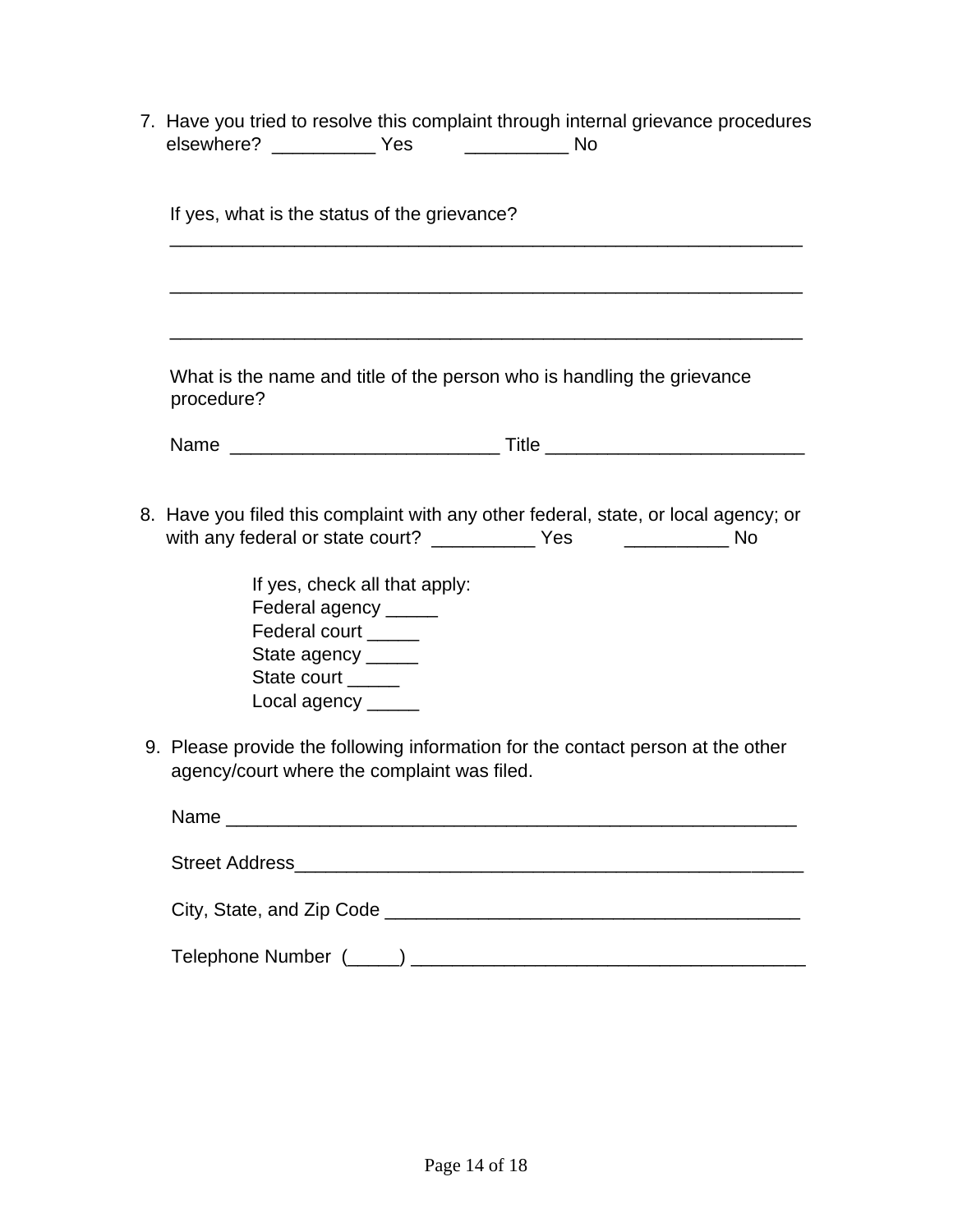7. Have you tried to resolve this complaint through internal grievance procedures elsewhere? \_\_\_\_\_\_\_\_\_\_ Yes \_\_\_\_\_\_\_\_\_\_\_ No

| If yes, what is the status of the grievance?                                                                                                                    |  |  |
|-----------------------------------------------------------------------------------------------------------------------------------------------------------------|--|--|
|                                                                                                                                                                 |  |  |
|                                                                                                                                                                 |  |  |
| What is the name and title of the person who is handling the grievance<br>procedure?                                                                            |  |  |
|                                                                                                                                                                 |  |  |
| 8. Have you filed this complaint with any other federal, state, or local agency; or<br>with any federal or state court? ______________ Yes _________________ No |  |  |
| If yes, check all that apply:<br>Federal agency _____<br>Federal court ____<br>State agency _____<br>State court _____<br>Local agency _____                    |  |  |
| 9. Please provide the following information for the contact person at the other<br>agency/court where the complaint was filed.                                  |  |  |
|                                                                                                                                                                 |  |  |
|                                                                                                                                                                 |  |  |
|                                                                                                                                                                 |  |  |
|                                                                                                                                                                 |  |  |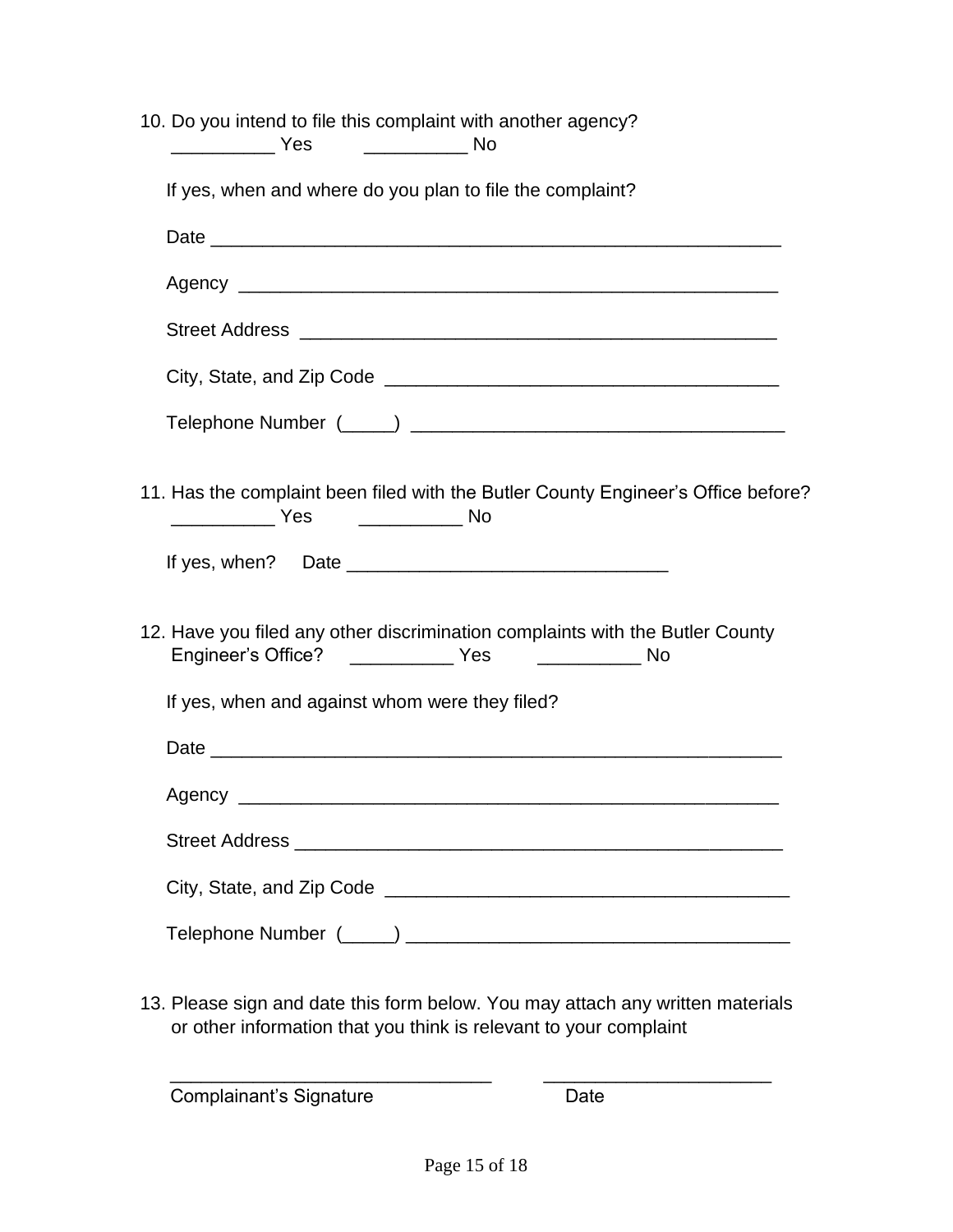| 10. Do you intend to file this complaint with another agency?                                                                               |  |  |  |  |
|---------------------------------------------------------------------------------------------------------------------------------------------|--|--|--|--|
| If yes, when and where do you plan to file the complaint?                                                                                   |  |  |  |  |
|                                                                                                                                             |  |  |  |  |
|                                                                                                                                             |  |  |  |  |
|                                                                                                                                             |  |  |  |  |
|                                                                                                                                             |  |  |  |  |
|                                                                                                                                             |  |  |  |  |
| 11. Has the complaint been filed with the Butler County Engineer's Office before?<br>$\frac{1}{2}$ Yes                                      |  |  |  |  |
|                                                                                                                                             |  |  |  |  |
| 12. Have you filed any other discrimination complaints with the Butler County<br>Engineer's Office? _______________ Yes ________________ No |  |  |  |  |
| If yes, when and against whom were they filed?                                                                                              |  |  |  |  |
|                                                                                                                                             |  |  |  |  |
|                                                                                                                                             |  |  |  |  |
|                                                                                                                                             |  |  |  |  |
|                                                                                                                                             |  |  |  |  |
|                                                                                                                                             |  |  |  |  |

13. Please sign and date this form below. You may attach any written materials or other information that you think is relevant to your complaint

 $\overline{\phantom{a}}$  , and the contract of the contract of the contract of the contract of the contract of the contract of the contract of the contract of the contract of the contract of the contract of the contract of the contrac

Complainant's Signature **Date** Date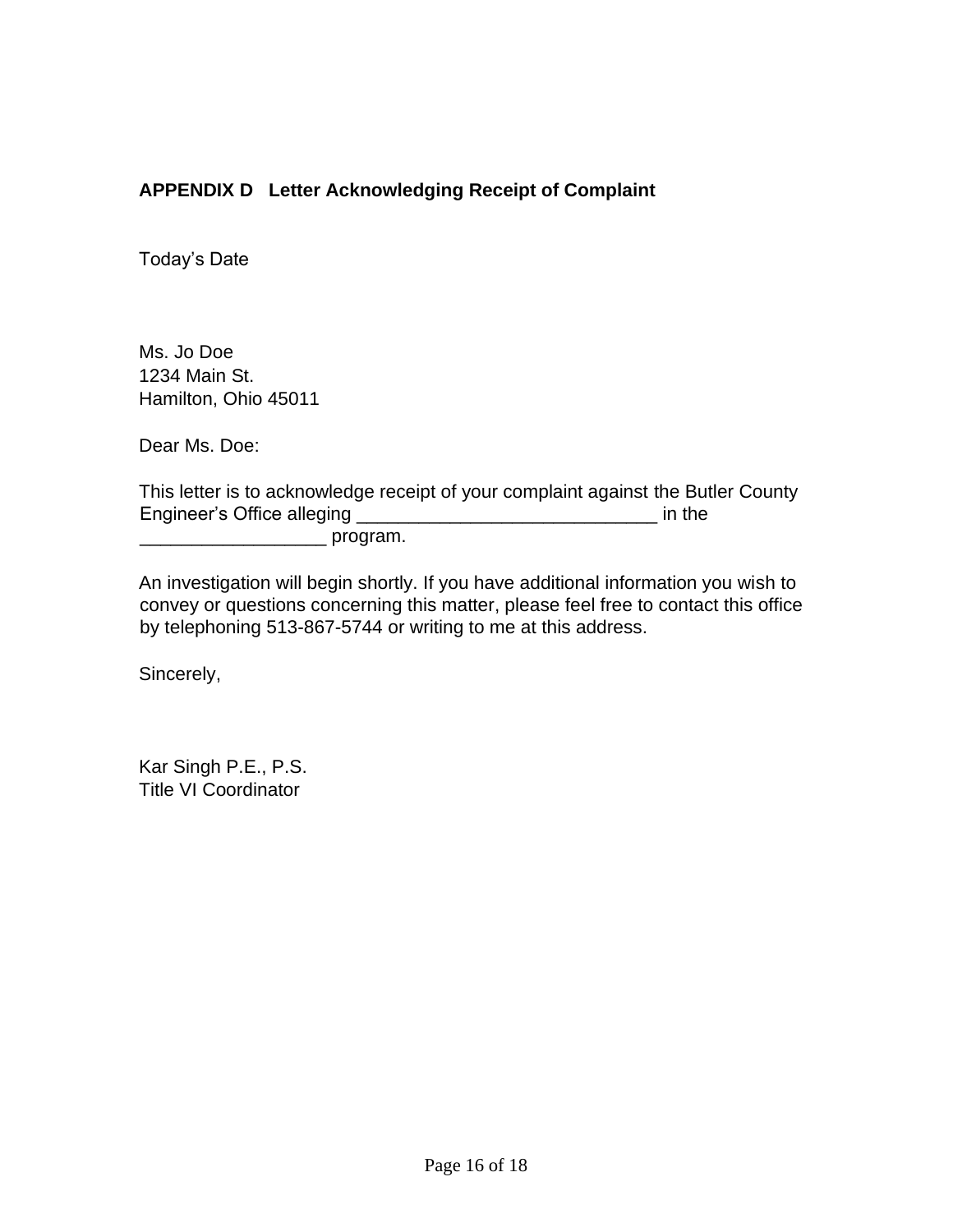## **APPENDIX D Letter Acknowledging Receipt of Complaint**

Today's Date

Ms. Jo Doe 1234 Main St. Hamilton, Ohio 45011

Dear Ms. Doe:

This letter is to acknowledge receipt of your complaint against the Butler County Engineer's Office alleging \_\_\_\_\_\_\_\_\_\_\_\_\_\_\_\_\_\_\_\_\_\_\_\_\_\_\_\_\_ in the \_\_\_\_\_\_\_\_\_\_\_\_\_\_\_\_\_\_ program.

An investigation will begin shortly. If you have additional information you wish to convey or questions concerning this matter, please feel free to contact this office by telephoning 513-867-5744 or writing to me at this address.

Sincerely,

Kar Singh P.E., P.S. Title VI Coordinator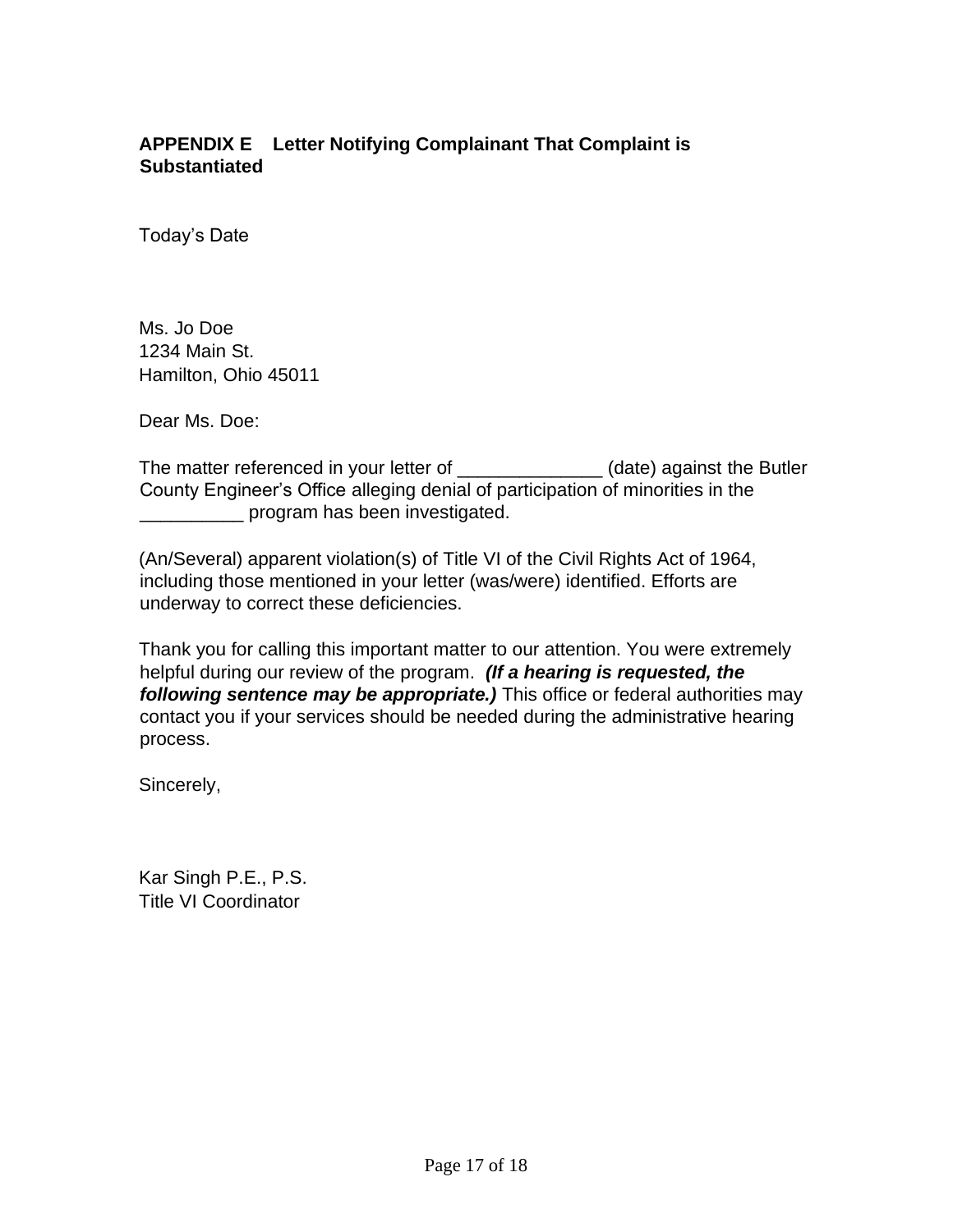## **APPENDIX E Letter Notifying Complainant That Complaint is Substantiated**

Today's Date

Ms. Jo Doe 1234 Main St. Hamilton, Ohio 45011

Dear Ms. Doe:

The matter referenced in your letter of \_\_\_\_\_\_\_\_\_\_\_\_\_\_\_(date) against the Butler County Engineer's Office alleging denial of participation of minorities in the \_\_\_\_\_\_\_\_\_\_ program has been investigated.

(An/Several) apparent violation(s) of Title VI of the Civil Rights Act of 1964, including those mentioned in your letter (was/were) identified. Efforts are underway to correct these deficiencies.

Thank you for calling this important matter to our attention. You were extremely helpful during our review of the program. *(If a hearing is requested, the following sentence may be appropriate.)* This office or federal authorities may contact you if your services should be needed during the administrative hearing process.

Sincerely,

Kar Singh P.E., P.S. Title VI Coordinator